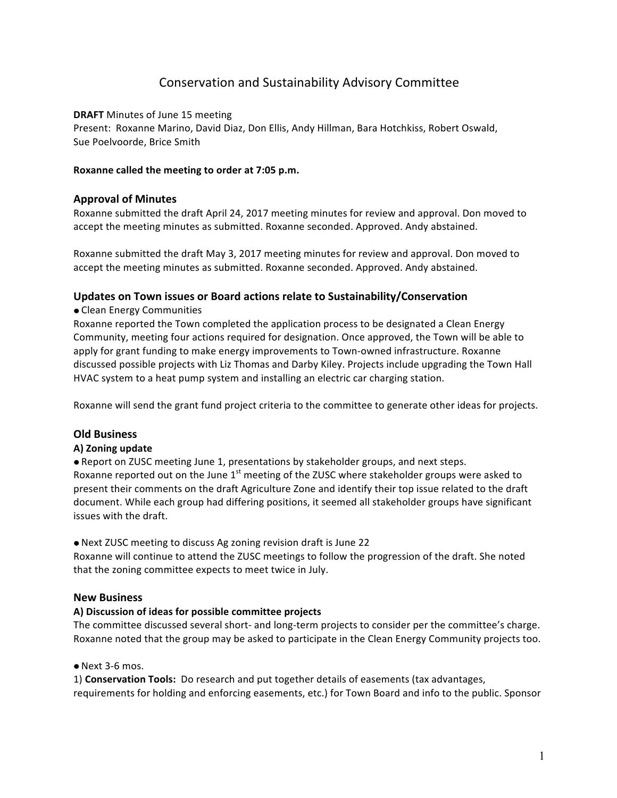# Conservation and Sustainability Advisory Committee

### **DRAFT** Minutes of June 15 meeting

Present: Roxanne Marino, David Diaz, Don Ellis, Andy Hillman, Bara Hotchkiss, Robert Oswald, Sue Poelvoorde, Brice Smith

#### Roxanne called the meeting to order at 7:05 p.m.

### **Approval of Minutes**

Roxanne submitted the draft April 24, 2017 meeting minutes for review and approval. Don moved to accept the meeting minutes as submitted. Roxanne seconded. Approved. Andy abstained.

Roxanne submitted the draft May 3, 2017 meeting minutes for review and approval. Don moved to accept the meeting minutes as submitted. Roxanne seconded. Approved. Andy abstained.

### Updates on Town issues or Board actions relate to Sustainability/Conservation

#### • Clean Energy Communities

Roxanne reported the Town completed the application process to be designated a Clean Energy Community, meeting four actions required for designation. Once approved, the Town will be able to apply for grant funding to make energy improvements to Town-owned infrastructure. Roxanne discussed possible projects with Liz Thomas and Darby Kiley. Projects include upgrading the Town Hall HVAC system to a heat pump system and installing an electric car charging station.

Roxanne will send the grant fund project criteria to the committee to generate other ideas for projects.

### **Old Business**

#### **A) Zoning update**

• Report on ZUSC meeting June 1, presentations by stakeholder groups, and next steps. Roxanne reported out on the June  $1<sup>st</sup>$  meeting of the ZUSC where stakeholder groups were asked to present their comments on the draft Agriculture Zone and identify their top issue related to the draft document. While each group had differing positions, it seemed all stakeholder groups have significant issues with the draft.

#### • Next ZUSC meeting to discuss Ag zoning revision draft is June 22

Roxanne will continue to attend the ZUSC meetings to follow the progression of the draft. She noted that the zoning committee expects to meet twice in July.

### **New Business**

#### A) Discussion of ideas for possible committee projects

The committee discussed several short- and long-term projects to consider per the committee's charge. Roxanne noted that the group may be asked to participate in the Clean Energy Community projects too.

#### $\bullet$  Next 3-6 mos.

1) **Conservation Tools:** Do research and put together details of easements (tax advantages, requirements for holding and enforcing easements, etc.) for Town Board and info to the public. Sponsor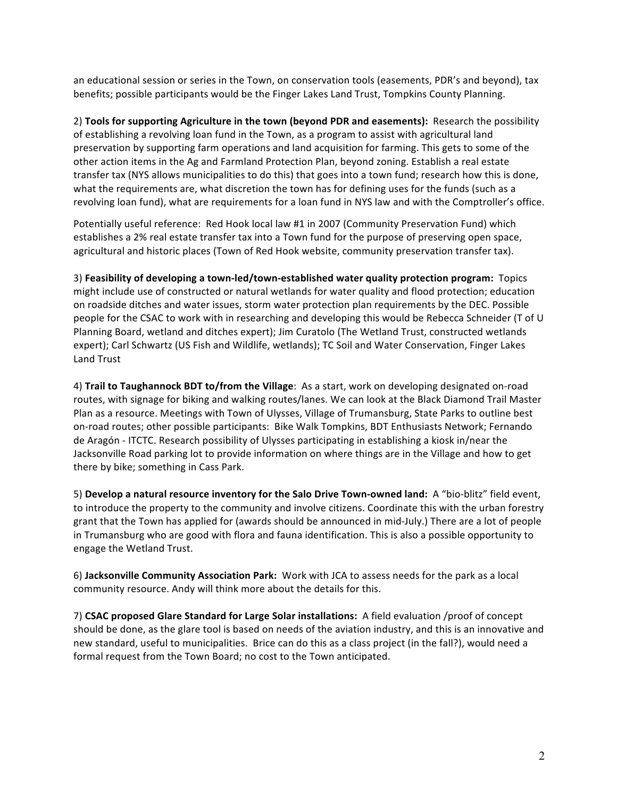an educational session or series in the Town, on conservation tools (easements, PDR's and beyond), tax benefits; possible participants would be the Finger Lakes Land Trust, Tompkins County Planning.

2) Tools for supporting Agriculture in the town (beyond PDR and easements): Research the possibility of establishing a revolving loan fund in the Town, as a program to assist with agricultural land preservation by supporting farm operations and land acquisition for farming. This gets to some of the other action items in the Ag and Farmland Protection Plan, beyond zoning. Establish a real estate transfer tax (NYS allows municipalities to do this) that goes into a town fund; research how this is done, what the requirements are, what discretion the town has for defining uses for the funds (such as a revolving loan fund), what are requirements for a loan fund in NYS law and with the Comptroller's office.

Potentially useful reference: Red Hook local law #1 in 2007 (Community Preservation Fund) which establishes a 2% real estate transfer tax into a Town fund for the purpose of preserving open space, agricultural and historic places (Town of Red Hook website, community preservation transfer tax).

3) Feasibility of developing a town-led/town-established water quality protection program: Topics might include use of constructed or natural wetlands for water quality and flood protection; education on roadside ditches and water issues, storm water protection plan requirements by the DEC. Possible people for the CSAC to work with in researching and developing this would be Rebecca Schneider (T of U Planning Board, wetland and ditches expert); Jim Curatolo (The Wetland Trust, constructed wetlands expert); Carl Schwartz (US Fish and Wildlife, wetlands); TC Soil and Water Conservation, Finger Lakes Land Trust

4) Trail to Taughannock BDT to/from the Village: As a start, work on developing designated on-road routes, with signage for biking and walking routes/lanes. We can look at the Black Diamond Trail Master Plan as a resource. Meetings with Town of Ulysses, Village of Trumansburg, State Parks to outline best on-road routes; other possible participants: Bike Walk Tompkins, BDT Enthusiasts Network; Fernando de Aragón - ITCTC. Research possibility of Ulysses participating in establishing a kiosk in/near the Jacksonville Road parking lot to provide information on where things are in the Village and how to get there by bike; something in Cass Park.

5) Develop a natural resource inventory for the Salo Drive Town-owned land: A "bio-blitz" field event, to introduce the property to the community and involve citizens. Coordinate this with the urban forestry grant that the Town has applied for (awards should be announced in mid-July.) There are a lot of people in Trumansburg who are good with flora and fauna identification. This is also a possible opportunity to engage the Wetland Trust.

6) **Jacksonville Community Association Park:** Work with JCA to assess needs for the park as a local community resource. Andy will think more about the details for this.

7) **CSAC proposed Glare Standard for Large Solar installations:** A field evaluation /proof of concept should be done, as the glare tool is based on needs of the aviation industry, and this is an innovative and new standard, useful to municipalities. Brice can do this as a class project (in the fall?), would need a formal request from the Town Board; no cost to the Town anticipated.